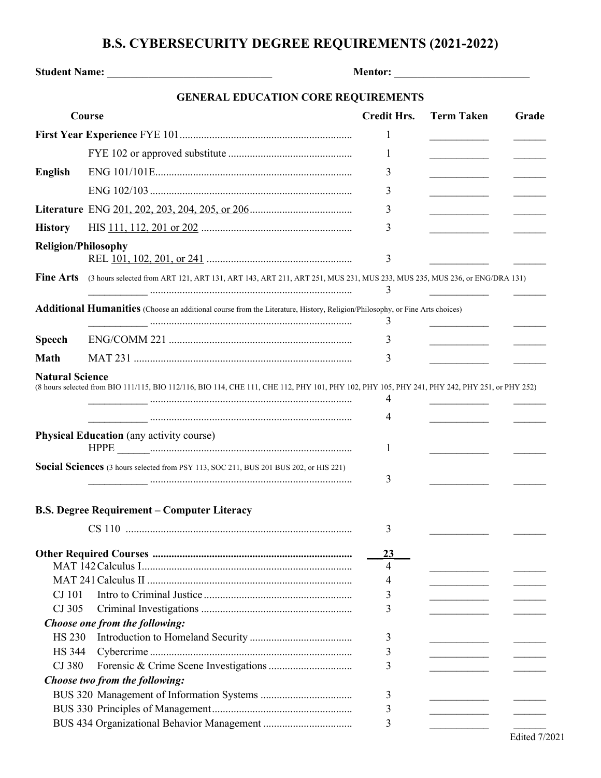## **B.S. CYBERSECURITY DEGREE REQUIREMENTS (2021-2022)**

| Student Name: Name:        |                                                                                                                                               |                    |                                                     |       |
|----------------------------|-----------------------------------------------------------------------------------------------------------------------------------------------|--------------------|-----------------------------------------------------|-------|
|                            | <b>GENERAL EDUCATION CORE REQUIREMENTS</b>                                                                                                    |                    |                                                     |       |
|                            | Course                                                                                                                                        | <b>Credit Hrs.</b> | <b>Term Taken</b>                                   | Grade |
|                            |                                                                                                                                               | 1                  |                                                     |       |
|                            |                                                                                                                                               | 1                  | <u> 1989 - John Barn Barn, amerikansk politiker</u> |       |
| <b>English</b>             |                                                                                                                                               | 3                  |                                                     |       |
|                            |                                                                                                                                               | 3                  |                                                     |       |
|                            |                                                                                                                                               | 3                  |                                                     |       |
| <b>History</b>             |                                                                                                                                               | 3                  |                                                     |       |
| <b>Religion/Philosophy</b> |                                                                                                                                               |                    |                                                     |       |
|                            |                                                                                                                                               | 3                  |                                                     |       |
| <b>Fine Arts</b>           | (3 hours selected from ART 121, ART 131, ART 143, ART 211, ART 251, MUS 231, MUS 233, MUS 235, MUS 236, or ENG/DRA 131)                       | 3                  |                                                     |       |
|                            | <b>Additional Humanities</b> (Choose an additional course from the Literature, History, Religion/Philosophy, or Fine Arts choices)            | 3                  |                                                     |       |
| <b>Speech</b>              |                                                                                                                                               | 3                  | the control of the control of the                   |       |
| Math                       |                                                                                                                                               | 3                  |                                                     |       |
| <b>Natural Science</b>     | (8 hours selected from BIO 111/115, BIO 112/116, BIO 114, CHE 111, CHE 112, PHY 101, PHY 102, PHY 105, PHY 241, PHY 242, PHY 251, or PHY 252) | 4<br>4             |                                                     |       |
|                            | <b>Physical Education</b> (any activity course)                                                                                               | 1                  |                                                     |       |
|                            | Social Sciences (3 hours selected from PSY 113, SOC 211, BUS 201 BUS 202, or HIS 221)                                                         | 3                  |                                                     |       |
|                            | <b>B.S. Degree Requirement - Computer Literacy</b>                                                                                            |                    |                                                     |       |
|                            |                                                                                                                                               | 3                  |                                                     |       |
|                            |                                                                                                                                               | <u>23</u><br>4     |                                                     |       |
|                            |                                                                                                                                               | 4                  |                                                     |       |
| CJ 101                     |                                                                                                                                               | 3                  |                                                     |       |
| CJ 305                     |                                                                                                                                               | 3                  |                                                     |       |
|                            | Choose one from the following:                                                                                                                |                    |                                                     |       |
| <b>HS 230</b>              |                                                                                                                                               | 3                  |                                                     |       |
| <b>HS</b> 344              |                                                                                                                                               | 3                  |                                                     |       |
| CJ 380                     |                                                                                                                                               | 3                  |                                                     |       |
|                            | Choose two from the following:                                                                                                                | 3                  |                                                     |       |
|                            |                                                                                                                                               | 3                  |                                                     |       |
|                            |                                                                                                                                               | 3                  |                                                     |       |